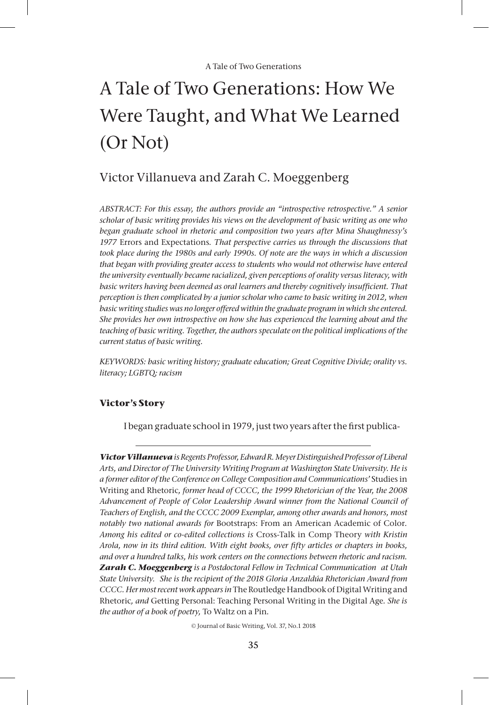# A Tale of Two Generations: How We Were Taught, and What We Learned (Or Not)

# Victor Villanueva and Zarah C. Moeggenberg

*ABSTRACT: For this essay, the authors provide an "introspective retrospective." A senior scholar of basic writing provides his views on the development of basic writing as one who began graduate school in rhetoric and composition two years after Mina Shaughnessy's 1977* Errors and Expectations*. That perspective carries us through the discussions that took place during the 1980s and early 1990s. Of note are the ways in which a discussion that began with providing greater access to students who would not otherwise have entered the university eventually became racialized, given perceptions of orality versus literacy, with basic writers having been deemed as oral learners and thereby cognitively insufficient. That perception is then complicated by a junior scholar who came to basic writing in 2012, when basic writing studies was no longer offered within the graduate program in which she entered. She provides her own introspective on how she has experienced the learning about and the teaching of basic writing. Together, the authors speculate on the political implications of the current status of basic writing.*

*KEYWORDS: basic writing history; graduate education; Great Cognitive Divide; orality vs. literacy; LGBTQ; racism*

#### **Victor's Story**

I began graduate school in 1979, just two years after the first publica-

*Victor Villanueva is Regents Professor, Edward R. Meyer Distinguished Professor of Liberal Arts, and Director of The University Writing Program at Washington State University. He is a former editor of the Conference on College Composition and Communications'* Studies in Writing and Rhetoric*, former head of CCCC, the 1999 Rhetorician of the Year, the 2008 Advancement of People of Color Leadership Award winner from the National Council of Teachers of English, and the CCCC 2009 Exemplar, among other awards and honors, most notably two national awards for* Bootstraps: From an American Academic of Color*. Among his edited or co-edited collections is* Cross-Talk in Comp Theory *with Kristin Arola, now in its third edition. With eight books, over fifty articles or chapters in books, and over a hundred talks, his work centers on the connections between rhetoric and racism. Zarah C. Moeggenberg is a Postdoctoral Fellow in Technical Communication at Utah State University. She is the recipient of the 2018 Gloria Anzaldúa Rhetorician Award from CCCC. Her most recent work appears in* The Routledge Handbook of Digital Writing and Rhetoric*, and* Getting Personal: Teaching Personal Writing in the Digital Age*. She is the author of a book of poetry,* To Waltz on a Pin*.*

© Journal of Basic Writing, Vol. 37, No.1 2018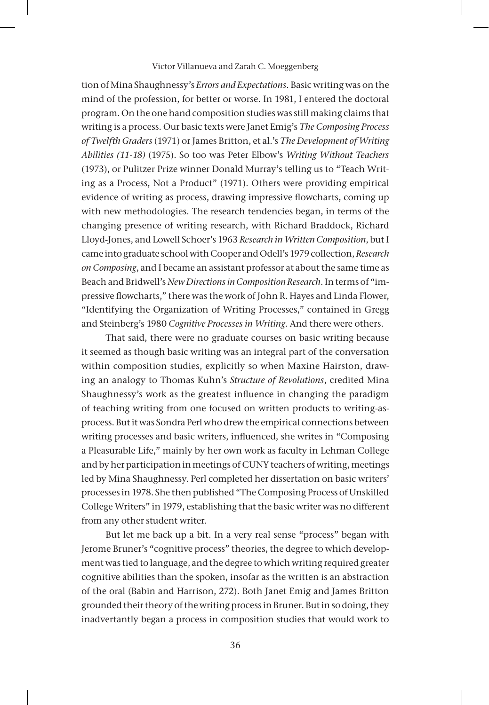tion of Mina Shaughnessy's *Errors and Expectations*. Basic writing was on the mind of the profession, for better or worse. In 1981, I entered the doctoral program. On the one hand composition studies was still making claims that writing is a process. Our basic texts were Janet Emig's *The Composing Process of Twelfth Graders* (1971) or James Britton, et al.'s *The Development of Writing Abilities (11-18)* (1975). So too was Peter Elbow's *Writing Without Teachers*  (1973), or Pulitzer Prize winner Donald Murray's telling us to "Teach Writing as a Process, Not a Product" (1971). Others were providing empirical evidence of writing as process, drawing impressive flowcharts, coming up with new methodologies. The research tendencies began, in terms of the changing presence of writing research, with Richard Braddock, Richard Lloyd-Jones, and Lowell Schoer's 1963 *Research in Written Composition*, but I came into graduate school with Cooper and Odell's 1979 collection, *Research on Composing*, and I became an assistant professor at about the same time as Beach and Bridwell's *New Directions in Composition Research*. In terms of "impressive flowcharts," there was the work of John R. Hayes and Linda Flower, "Identifying the Organization of Writing Processes," contained in Gregg and Steinberg's 1980 *Cognitive Processes in Writing*. And there were others.

That said, there were no graduate courses on basic writing because it seemed as though basic writing was an integral part of the conversation within composition studies, explicitly so when Maxine Hairston, drawing an analogy to Thomas Kuhn's *Structure of Revolutions*, credited Mina Shaughnessy's work as the greatest influence in changing the paradigm of teaching writing from one focused on written products to writing-asprocess. But it was Sondra Perl who drew the empirical connections between writing processes and basic writers, influenced, she writes in "Composing a Pleasurable Life," mainly by her own work as faculty in Lehman College and by her participation in meetings of CUNY teachers of writing, meetings led by Mina Shaughnessy. Perl completed her dissertation on basic writers' processes in 1978. She then published "The Composing Process of Unskilled College Writers" in 1979, establishing that the basic writer was no different from any other student writer.

But let me back up a bit. In a very real sense "process" began with Jerome Bruner's "cognitive process" theories, the degree to which development was tied to language, and the degree to which writing required greater cognitive abilities than the spoken, insofar as the written is an abstraction of the oral (Babin and Harrison, 272). Both Janet Emig and James Britton grounded their theory of the writing process in Bruner. But in so doing, they inadvertantly began a process in composition studies that would work to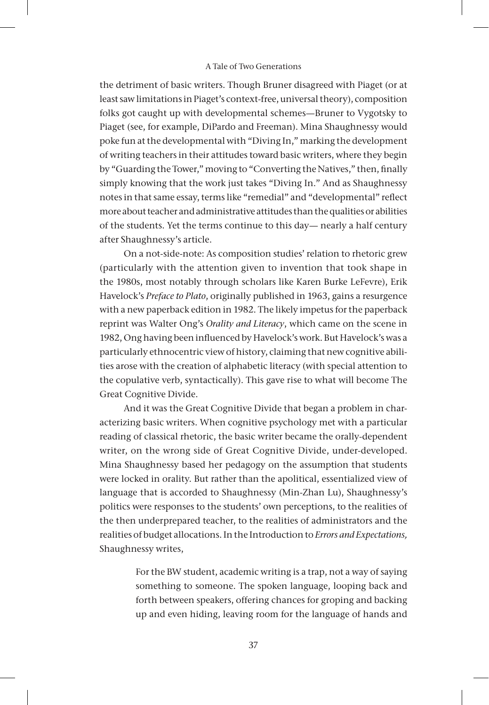the detriment of basic writers. Though Bruner disagreed with Piaget (or at least saw limitations in Piaget's context-free, universal theory), composition folks got caught up with developmental schemes—Bruner to Vygotsky to Piaget (see, for example, DiPardo and Freeman). Mina Shaughnessy would poke fun at the developmental with "Diving In," marking the development of writing teachers in their attitudes toward basic writers, where they begin by "Guarding the Tower," moving to "Converting the Natives," then, finally simply knowing that the work just takes "Diving In." And as Shaughnessy notes in that same essay, terms like "remedial" and "developmental" reflect more about teacher and administrative attitudes than the qualities or abilities of the students. Yet the terms continue to this day— nearly a half century after Shaughnessy's article.

On a not-side-note: As composition studies' relation to rhetoric grew (particularly with the attention given to invention that took shape in the 1980s, most notably through scholars like Karen Burke LeFevre), Erik Havelock's *Preface to Plato*, originally published in 1963, gains a resurgence with a new paperback edition in 1982. The likely impetus for the paperback reprint was Walter Ong's *Orality and Literacy*, which came on the scene in 1982, Ong having been influenced by Havelock's work. But Havelock's was a particularly ethnocentric view of history, claiming that new cognitive abilities arose with the creation of alphabetic literacy (with special attention to the copulative verb, syntactically). This gave rise to what will become The Great Cognitive Divide.

And it was the Great Cognitive Divide that began a problem in characterizing basic writers. When cognitive psychology met with a particular reading of classical rhetoric, the basic writer became the orally-dependent writer, on the wrong side of Great Cognitive Divide, under-developed. Mina Shaughnessy based her pedagogy on the assumption that students were locked in orality. But rather than the apolitical, essentialized view of language that is accorded to Shaughnessy (Min-Zhan Lu), Shaughnessy's politics were responses to the students' own perceptions, to the realities of the then underprepared teacher, to the realities of administrators and the realities of budget allocations. In the Introduction to *Errors and Expectations,*  Shaughnessy writes,

> For the BW student, academic writing is a trap, not a way of saying something to someone. The spoken language, looping back and forth between speakers, offering chances for groping and backing up and even hiding, leaving room for the language of hands and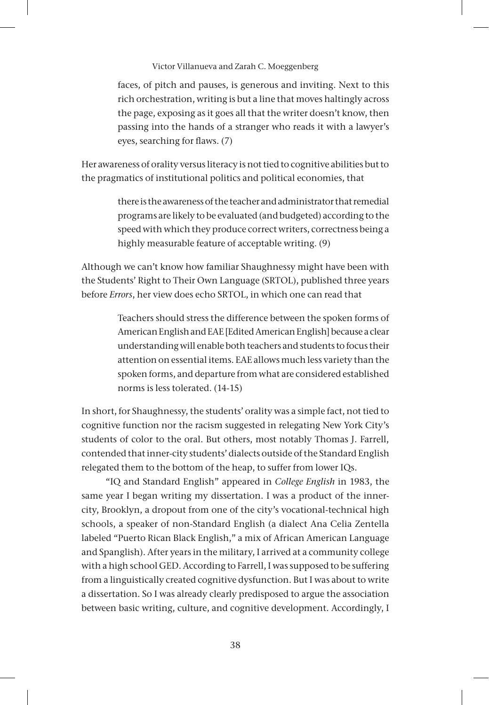faces, of pitch and pauses, is generous and inviting. Next to this rich orchestration, writing is but a line that moves haltingly across the page, exposing as it goes all that the writer doesn't know, then passing into the hands of a stranger who reads it with a lawyer's eyes, searching for flaws. (7)

Her awareness of orality versus literacy is not tied to cognitive abilities but to the pragmatics of institutional politics and political economies, that

> there is the awareness of the teacher and administrator that remedial programs are likely to be evaluated (and budgeted) according to the speed with which they produce correct writers, correctness being a highly measurable feature of acceptable writing. (9)

Although we can't know how familiar Shaughnessy might have been with the Students' Right to Their Own Language (SRTOL), published three years before *Errors*, her view does echo SRTOL, in which one can read that

> Teachers should stress the difference between the spoken forms of American English and EAE [Edited American English] because a clear understanding will enable both teachers and students to focus their attention on essential items. EAE allows much less variety than the spoken forms, and departure from what are considered established norms is less tolerated. (14-15)

In short, for Shaughnessy, the students' orality was a simple fact, not tied to cognitive function nor the racism suggested in relegating New York City's students of color to the oral. But others, most notably Thomas J. Farrell, contended that inner-city students' dialects outside of the Standard English relegated them to the bottom of the heap, to suffer from lower IQs.

"IQ and Standard English" appeared in *College English* in 1983, the same year I began writing my dissertation. I was a product of the innercity, Brooklyn, a dropout from one of the city's vocational-technical high schools, a speaker of non-Standard English (a dialect Ana Celia Zentella labeled "Puerto Rican Black English," a mix of African American Language and Spanglish). After years in the military, I arrived at a community college with a high school GED. According to Farrell, I was supposed to be suffering from a linguistically created cognitive dysfunction. But I was about to write a dissertation. So I was already clearly predisposed to argue the association between basic writing, culture, and cognitive development. Accordingly, I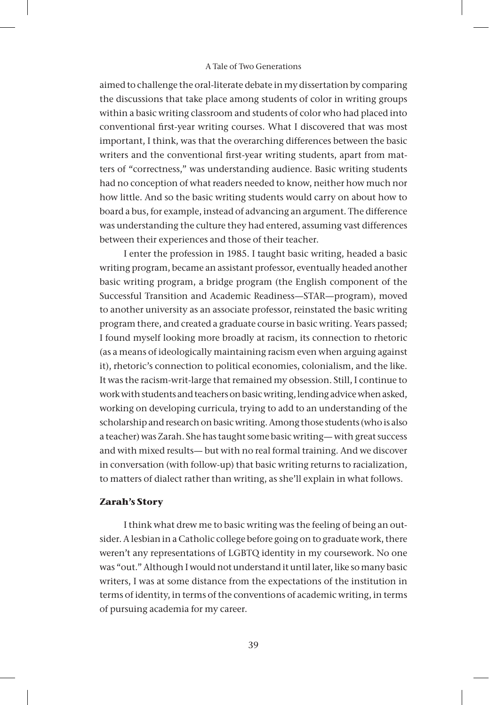aimed to challenge the oral-literate debate in my dissertation by comparing the discussions that take place among students of color in writing groups within a basic writing classroom and students of color who had placed into conventional first-year writing courses. What I discovered that was most important, I think, was that the overarching differences between the basic writers and the conventional first-year writing students, apart from matters of "correctness," was understanding audience. Basic writing students had no conception of what readers needed to know, neither how much nor how little. And so the basic writing students would carry on about how to board a bus, for example, instead of advancing an argument. The difference was understanding the culture they had entered, assuming vast differences between their experiences and those of their teacher.

I enter the profession in 1985. I taught basic writing, headed a basic writing program, became an assistant professor, eventually headed another basic writing program, a bridge program (the English component of the Successful Transition and Academic Readiness—STAR—program), moved to another university as an associate professor, reinstated the basic writing program there, and created a graduate course in basic writing. Years passed; I found myself looking more broadly at racism, its connection to rhetoric (as a means of ideologically maintaining racism even when arguing against it), rhetoric's connection to political economies, colonialism, and the like. It was the racism-writ-large that remained my obsession. Still, I continue to work with students and teachers on basic writing, lending advice when asked, working on developing curricula, trying to add to an understanding of the scholarship and research on basic writing. Among those students (who is also a teacher) was Zarah. She has taught some basic writing— with great success and with mixed results— but with no real formal training. And we discover in conversation (with follow-up) that basic writing returns to racialization, to matters of dialect rather than writing, as she'll explain in what follows.

# **Zarah's Story**

I think what drew me to basic writing was the feeling of being an outsider. A lesbian in a Catholic college before going on to graduate work, there weren't any representations of LGBTQ identity in my coursework. No one was "out." Although I would not understand it until later, like so many basic writers, I was at some distance from the expectations of the institution in terms of identity, in terms of the conventions of academic writing, in terms of pursuing academia for my career.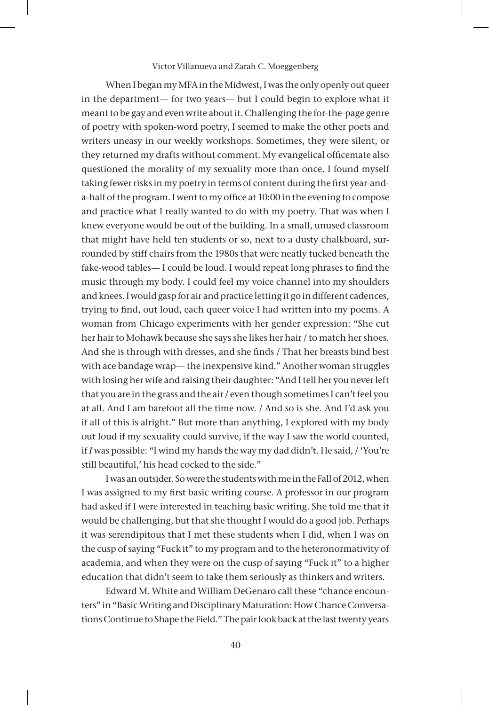When I began my MFA in the Midwest, I was the only openly out queer in the department— for two years— but I could begin to explore what it meant to be gay and even write about it. Challenging the for-the-page genre of poetry with spoken-word poetry, I seemed to make the other poets and writers uneasy in our weekly workshops. Sometimes, they were silent, or they returned my drafts without comment. My evangelical officemate also questioned the morality of my sexuality more than once. I found myself taking fewer risks in my poetry in terms of content during the first year-anda-half of the program. I went to my office at 10:00 in the evening to compose and practice what I really wanted to do with my poetry. That was when I knew everyone would be out of the building. In a small, unused classroom that might have held ten students or so, next to a dusty chalkboard, surrounded by stiff chairs from the 1980s that were neatly tucked beneath the fake-wood tables— I could be loud. I would repeat long phrases to find the music through my body. I could feel my voice channel into my shoulders and knees. I would gasp for air and practice letting it go in different cadences, trying to find, out loud, each queer voice I had written into my poems. A woman from Chicago experiments with her gender expression: "She cut her hair to Mohawk because she says she likes her hair / to match her shoes. And she is through with dresses, and she finds / That her breasts bind best with ace bandage wrap— the inexpensive kind." Another woman struggles with losing her wife and raising their daughter: "And I tell her you never left that you are in the grass and the air / even though sometimes I can't feel you at all. And I am barefoot all the time now. / And so is she. And I'd ask you if all of this is alright." But more than anything, I explored with my body out loud if my sexuality could survive, if the way I saw the world counted, if *I* was possible: "I wind my hands the way my dad didn't. He said, / 'You're still beautiful,' his head cocked to the side."

I was an outsider. So were the students with me in the Fall of 2012, when I was assigned to my first basic writing course. A professor in our program had asked if I were interested in teaching basic writing. She told me that it would be challenging, but that she thought I would do a good job. Perhaps it was serendipitous that I met these students when I did, when I was on the cusp of saying "Fuck it" to my program and to the heteronormativity of academia, and when they were on the cusp of saying "Fuck it" to a higher education that didn't seem to take them seriously as thinkers and writers.

Edward M. White and William DeGenaro call these "chance encounters" in "Basic Writing and Disciplinary Maturation: How Chance Conversations Continue to Shape the Field." The pair look back at the last twenty years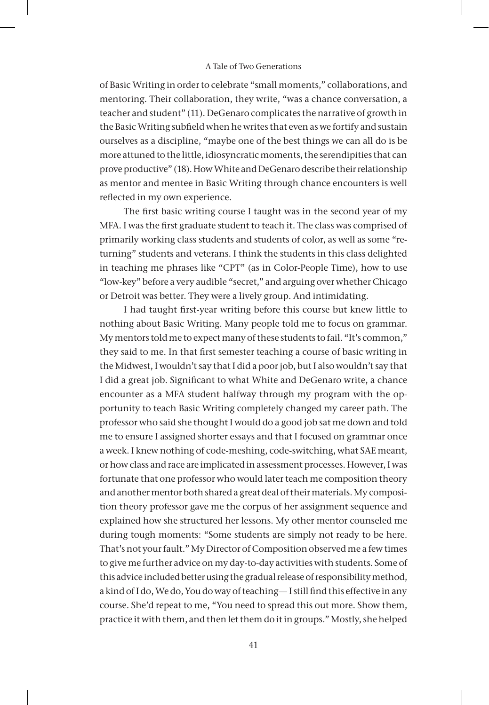of Basic Writing in order to celebrate "small moments," collaborations, and mentoring. Their collaboration, they write, "was a chance conversation, a teacher and student" (11). DeGenaro complicates the narrative of growth in the Basic Writing subfield when he writes that even as we fortify and sustain ourselves as a discipline, "maybe one of the best things we can all do is be more attuned to the little, idiosyncratic moments, the serendipities that can prove productive" (18). How White and DeGenaro describe their relationship as mentor and mentee in Basic Writing through chance encounters is well reflected in my own experience.

The first basic writing course I taught was in the second year of my MFA. I was the first graduate student to teach it. The class was comprised of primarily working class students and students of color, as well as some "returning" students and veterans. I think the students in this class delighted in teaching me phrases like "CPT" (as in Color-People Time), how to use "low-key" before a very audible "secret," and arguing over whether Chicago or Detroit was better. They were a lively group. And intimidating.

I had taught first-year writing before this course but knew little to nothing about Basic Writing. Many people told me to focus on grammar. My mentors told me to expect many of these students to fail. "It's common," they said to me. In that first semester teaching a course of basic writing in the Midwest, I wouldn't say that I did a poor job, but I also wouldn't say that I did a great job. Significant to what White and DeGenaro write, a chance encounter as a MFA student halfway through my program with the opportunity to teach Basic Writing completely changed my career path. The professor who said she thought I would do a good job sat me down and told me to ensure I assigned shorter essays and that I focused on grammar once a week. I knew nothing of code-meshing, code-switching, what SAE meant, or how class and race are implicated in assessment processes. However, I was fortunate that one professor who would later teach me composition theory and another mentor both shared a great deal of their materials. My composition theory professor gave me the corpus of her assignment sequence and explained how she structured her lessons. My other mentor counseled me during tough moments: "Some students are simply not ready to be here. That's not your fault." My Director of Composition observed me a few times to give me further advice on my day-to-day activities with students. Some of this advice included better using the gradual release of responsibility method, a kind of I do, We do, You do way of teaching— I still find this effective in any course. She'd repeat to me, "You need to spread this out more. Show them, practice it with them, and then let them do it in groups." Mostly, she helped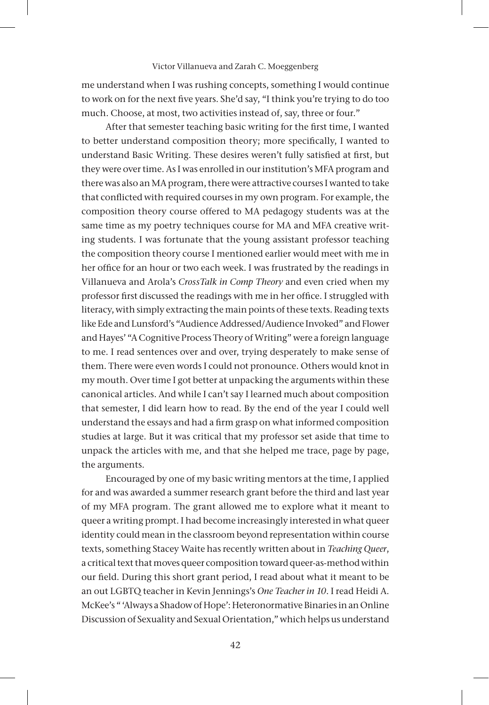me understand when I was rushing concepts, something I would continue to work on for the next five years. She'd say, "I think you're trying to do too much. Choose, at most, two activities instead of, say, three or four."

After that semester teaching basic writing for the first time, I wanted to better understand composition theory; more specifically, I wanted to understand Basic Writing. These desires weren't fully satisfied at first, but they were over time. As I was enrolled in our institution's MFA program and there was also an MA program, there were attractive courses I wanted to take that conflicted with required courses in my own program. For example, the composition theory course offered to MA pedagogy students was at the same time as my poetry techniques course for MA and MFA creative writing students. I was fortunate that the young assistant professor teaching the composition theory course I mentioned earlier would meet with me in her office for an hour or two each week. I was frustrated by the readings in Villanueva and Arola's *CrossTalk in Comp Theory* and even cried when my professor first discussed the readings with me in her office. I struggled with literacy, with simply extracting the main points of these texts. Reading texts like Ede and Lunsford's "Audience Addressed/Audience Invoked" and Flower and Hayes' "A Cognitive Process Theory of Writing" were a foreign language to me. I read sentences over and over, trying desperately to make sense of them. There were even words I could not pronounce. Others would knot in my mouth. Over time I got better at unpacking the arguments within these canonical articles. And while I can't say I learned much about composition that semester, I did learn how to read. By the end of the year I could well understand the essays and had a firm grasp on what informed composition studies at large. But it was critical that my professor set aside that time to unpack the articles with me, and that she helped me trace, page by page, the arguments.

Encouraged by one of my basic writing mentors at the time, I applied for and was awarded a summer research grant before the third and last year of my MFA program. The grant allowed me to explore what it meant to queer a writing prompt. I had become increasingly interested in what queer identity could mean in the classroom beyond representation within course texts, something Stacey Waite has recently written about in *Teaching Queer*, a critical text that moves queer composition toward queer-as-method within our field. During this short grant period, I read about what it meant to be an out LGBTQ teacher in Kevin Jennings's *One Teacher in 10*. I read Heidi A. McKee's " 'Always a Shadow of Hope': Heteronormative Binaries in an Online Discussion of Sexuality and Sexual Orientation," which helps us understand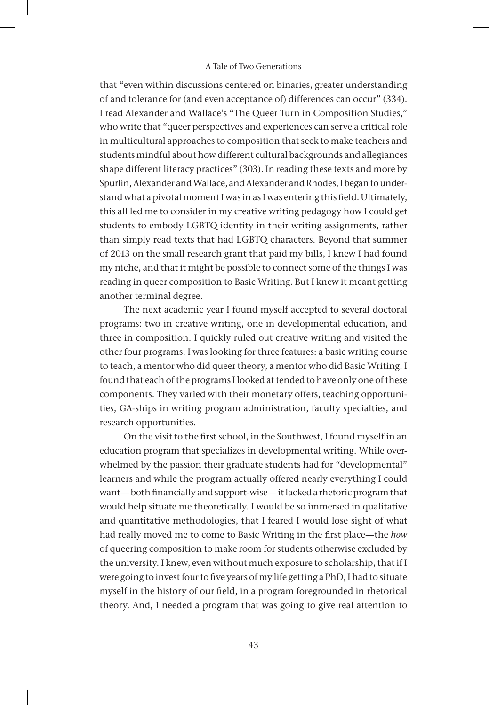that "even within discussions centered on binaries, greater understanding of and tolerance for (and even acceptance of) differences can occur" (334). I read Alexander and Wallace's "The Queer Turn in Composition Studies," who write that "queer perspectives and experiences can serve a critical role in multicultural approaches to composition that seek to make teachers and students mindful about how different cultural backgrounds and allegiances shape different literacy practices" (303). In reading these texts and more by Spurlin, Alexander and Wallace, and Alexander and Rhodes, I began to understand what a pivotal moment I was in as I was entering this field. Ultimately, this all led me to consider in my creative writing pedagogy how I could get students to embody LGBTQ identity in their writing assignments, rather than simply read texts that had LGBTQ characters. Beyond that summer of 2013 on the small research grant that paid my bills, I knew I had found my niche, and that it might be possible to connect some of the things I was reading in queer composition to Basic Writing. But I knew it meant getting another terminal degree.

The next academic year I found myself accepted to several doctoral programs: two in creative writing, one in developmental education, and three in composition. I quickly ruled out creative writing and visited the other four programs. I was looking for three features: a basic writing course to teach, a mentor who did queer theory, a mentor who did Basic Writing. I found that each of the programs I looked at tended to have only one of these components. They varied with their monetary offers, teaching opportunities, GA-ships in writing program administration, faculty specialties, and research opportunities.

On the visit to the first school, in the Southwest, I found myself in an education program that specializes in developmental writing. While overwhelmed by the passion their graduate students had for "developmental" learners and while the program actually offered nearly everything I could want— both financially and support-wise— it lacked a rhetoric program that would help situate me theoretically. I would be so immersed in qualitative and quantitative methodologies, that I feared I would lose sight of what had really moved me to come to Basic Writing in the first place—the *how* of queering composition to make room for students otherwise excluded by the university. I knew, even without much exposure to scholarship, that if I were going to invest four to five years of my life getting a PhD, I had to situate myself in the history of our field, in a program foregrounded in rhetorical theory. And, I needed a program that was going to give real attention to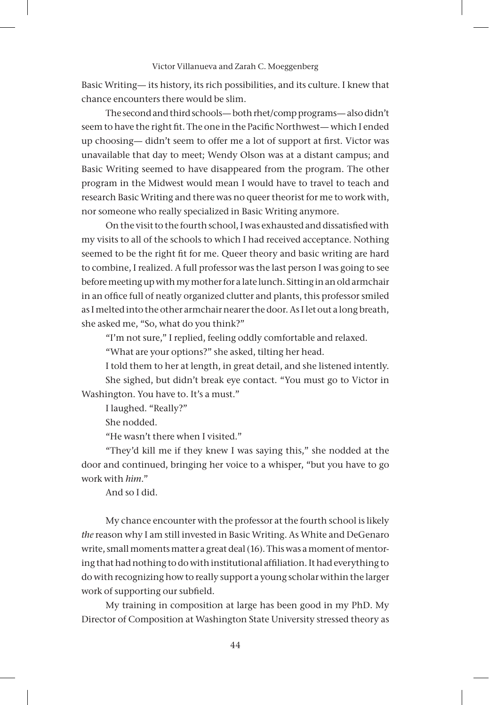Basic Writing— its history, its rich possibilities, and its culture. I knew that chance encounters there would be slim.

The second and third schools— both rhet/comp programs— also didn't seem to have the right fit. The one in the Pacific Northwest— which I ended up choosing— didn't seem to offer me a lot of support at first. Victor was unavailable that day to meet; Wendy Olson was at a distant campus; and Basic Writing seemed to have disappeared from the program. The other program in the Midwest would mean I would have to travel to teach and research Basic Writing and there was no queer theorist for me to work with, nor someone who really specialized in Basic Writing anymore.

On the visit to the fourth school, I was exhausted and dissatisfied with my visits to all of the schools to which I had received acceptance. Nothing seemed to be the right fit for me. Queer theory and basic writing are hard to combine, I realized. A full professor was the last person I was going to see before meeting up with my mother for a late lunch. Sitting in an old armchair in an office full of neatly organized clutter and plants, this professor smiled as I melted into the other armchair nearer the door. As I let out a long breath, she asked me, "So, what do you think?"

"I'm not sure," I replied, feeling oddly comfortable and relaxed.

"What are your options?" she asked, tilting her head.

I told them to her at length, in great detail, and she listened intently. She sighed, but didn't break eye contact. "You must go to Victor in Washington. You have to. It's a must."

I laughed. "Really?"

She nodded.

"He wasn't there when I visited."

"They'd kill me if they knew I was saying this," she nodded at the door and continued, bringing her voice to a whisper, "but you have to go work with *him*."

And so I did.

My chance encounter with the professor at the fourth school is likely *the* reason why I am still invested in Basic Writing. As White and DeGenaro write, small moments matter a great deal (16). This was a moment of mentoring that had nothing to do with institutional affiliation. It had everything to do with recognizing how to really support a young scholar within the larger work of supporting our subfield.

My training in composition at large has been good in my PhD. My Director of Composition at Washington State University stressed theory as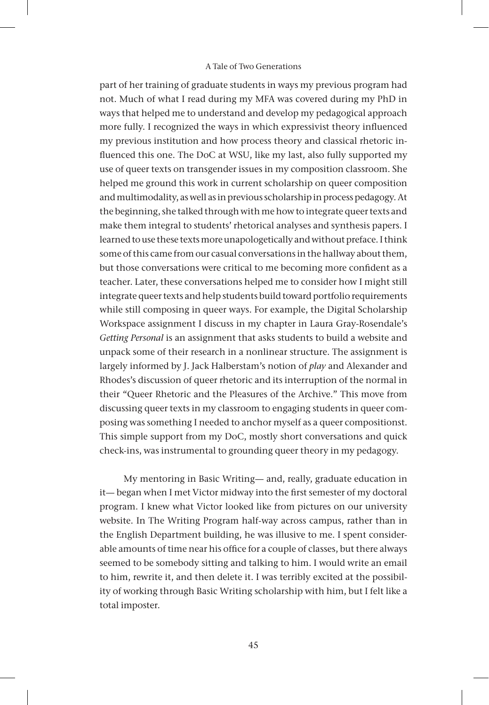part of her training of graduate students in ways my previous program had not. Much of what I read during my MFA was covered during my PhD in ways that helped me to understand and develop my pedagogical approach more fully. I recognized the ways in which expressivist theory influenced my previous institution and how process theory and classical rhetoric influenced this one. The DoC at WSU, like my last, also fully supported my use of queer texts on transgender issues in my composition classroom. She helped me ground this work in current scholarship on queer composition and multimodality, as well as in previous scholarship in process pedagogy. At the beginning, she talked through with me how to integrate queer texts and make them integral to students' rhetorical analyses and synthesis papers. I learned to use these texts more unapologetically and without preface. I think some of this came from our casual conversations in the hallway about them, but those conversations were critical to me becoming more confident as a teacher. Later, these conversations helped me to consider how I might still integrate queer texts and help students build toward portfolio requirements while still composing in queer ways. For example, the Digital Scholarship Workspace assignment I discuss in my chapter in Laura Gray-Rosendale's *Getting Personal* is an assignment that asks students to build a website and unpack some of their research in a nonlinear structure. The assignment is largely informed by J. Jack Halberstam's notion of *play* and Alexander and Rhodes's discussion of queer rhetoric and its interruption of the normal in their "Queer Rhetoric and the Pleasures of the Archive." This move from discussing queer texts in my classroom to engaging students in queer composing was something I needed to anchor myself as a queer compositionst. This simple support from my DoC, mostly short conversations and quick check-ins, was instrumental to grounding queer theory in my pedagogy.

My mentoring in Basic Writing— and, really, graduate education in it— began when I met Victor midway into the first semester of my doctoral program. I knew what Victor looked like from pictures on our university website. In The Writing Program half-way across campus, rather than in the English Department building, he was illusive to me. I spent considerable amounts of time near his office for a couple of classes, but there always seemed to be somebody sitting and talking to him. I would write an email to him, rewrite it, and then delete it. I was terribly excited at the possibility of working through Basic Writing scholarship with him, but I felt like a total imposter.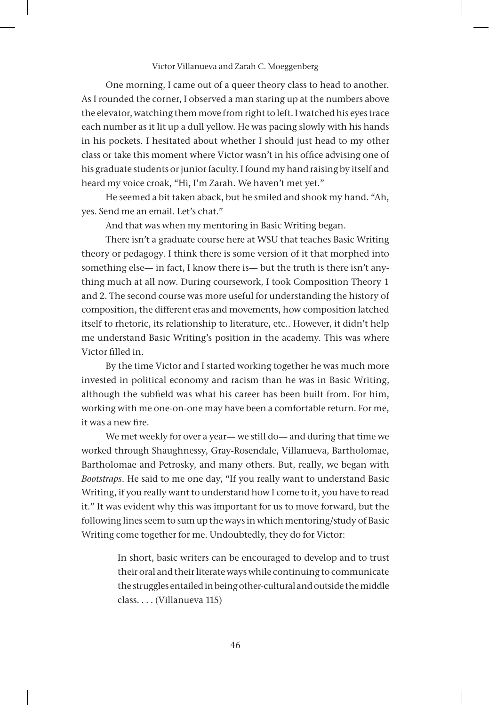One morning, I came out of a queer theory class to head to another. As I rounded the corner, I observed a man staring up at the numbers above the elevator, watching them move from right to left. I watched his eyes trace each number as it lit up a dull yellow. He was pacing slowly with his hands in his pockets. I hesitated about whether I should just head to my other class or take this moment where Victor wasn't in his office advising one of his graduate students or junior faculty. I found my hand raising by itself and heard my voice croak, "Hi, I'm Zarah. We haven't met yet."

He seemed a bit taken aback, but he smiled and shook my hand. "Ah, yes. Send me an email. Let's chat."

And that was when my mentoring in Basic Writing began.

There isn't a graduate course here at WSU that teaches Basic Writing theory or pedagogy. I think there is some version of it that morphed into something else— in fact, I know there is— but the truth is there isn't anything much at all now. During coursework, I took Composition Theory 1 and 2. The second course was more useful for understanding the history of composition, the different eras and movements, how composition latched itself to rhetoric, its relationship to literature, etc.. However, it didn't help me understand Basic Writing's position in the academy. This was where Victor filled in.

By the time Victor and I started working together he was much more invested in political economy and racism than he was in Basic Writing, although the subfield was what his career has been built from. For him, working with me one-on-one may have been a comfortable return. For me, it was a new fire.

We met weekly for over a year— we still do— and during that time we worked through Shaughnessy, Gray-Rosendale, Villanueva, Bartholomae, Bartholomae and Petrosky, and many others. But, really, we began with *Bootstraps*. He said to me one day, "If you really want to understand Basic Writing, if you really want to understand how I come to it, you have to read it." It was evident why this was important for us to move forward, but the following lines seem to sum up the ways in which mentoring/study of Basic Writing come together for me. Undoubtedly, they do for Victor:

> In short, basic writers can be encouraged to develop and to trust their oral and their literate ways while continuing to communicate the struggles entailed in being other-cultural and outside the middle class. . . . (Villanueva 115)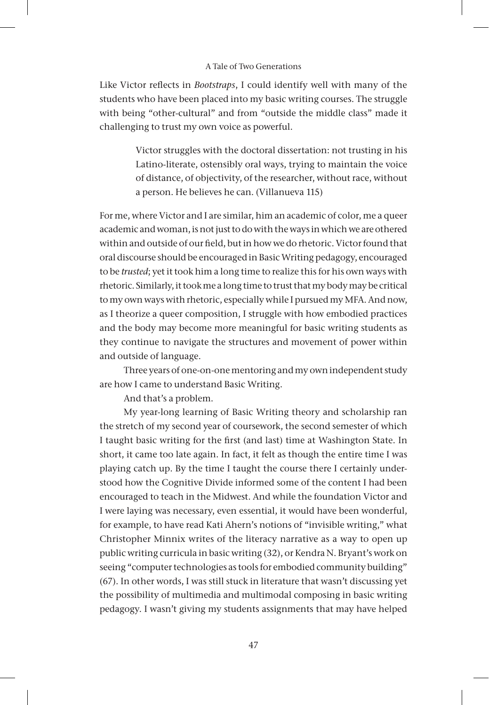Like Victor reflects in *Bootstraps*, I could identify well with many of the students who have been placed into my basic writing courses. The struggle with being "other-cultural" and from "outside the middle class" made it challenging to trust my own voice as powerful.

> Victor struggles with the doctoral dissertation: not trusting in his Latino-literate, ostensibly oral ways, trying to maintain the voice of distance, of objectivity, of the researcher, without race, without a person. He believes he can. (Villanueva 115)

For me, where Victor and I are similar, him an academic of color, me a queer academic and woman, is not just to do with the ways in which we are othered within and outside of our field, but in how we do rhetoric. Victor found that oral discourse should be encouraged in Basic Writing pedagogy, encouraged to be *trusted*; yet it took him a long time to realize this for his own ways with rhetoric. Similarly, it took me a long time to trust that my body may be critical to my own ways with rhetoric, especially while I pursued my MFA. And now, as I theorize a queer composition, I struggle with how embodied practices and the body may become more meaningful for basic writing students as they continue to navigate the structures and movement of power within and outside of language.

Three years of one-on-one mentoring and my own independent study are how I came to understand Basic Writing.

And that's a problem.

My year-long learning of Basic Writing theory and scholarship ran the stretch of my second year of coursework, the second semester of which I taught basic writing for the first (and last) time at Washington State. In short, it came too late again. In fact, it felt as though the entire time I was playing catch up. By the time I taught the course there I certainly understood how the Cognitive Divide informed some of the content I had been encouraged to teach in the Midwest. And while the foundation Victor and I were laying was necessary, even essential, it would have been wonderful, for example, to have read Kati Ahern's notions of "invisible writing," what Christopher Minnix writes of the literacy narrative as a way to open up public writing curricula in basic writing (32), or Kendra N. Bryant's work on seeing "computer technologies as tools for embodied community building" (67). In other words, I was still stuck in literature that wasn't discussing yet the possibility of multimedia and multimodal composing in basic writing pedagogy. I wasn't giving my students assignments that may have helped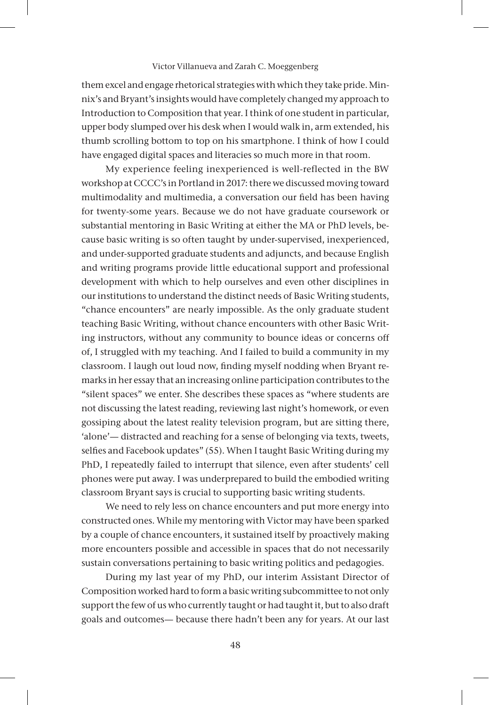them excel and engage rhetorical strategies with which they take pride. Minnix's and Bryant's insights would have completely changed my approach to Introduction to Composition that year. I think of one student in particular, upper body slumped over his desk when I would walk in, arm extended, his thumb scrolling bottom to top on his smartphone. I think of how I could have engaged digital spaces and literacies so much more in that room.

My experience feeling inexperienced is well-reflected in the BW workshop at CCCC's in Portland in 2017: there we discussed moving toward multimodality and multimedia, a conversation our field has been having for twenty-some years. Because we do not have graduate coursework or substantial mentoring in Basic Writing at either the MA or PhD levels, because basic writing is so often taught by under-supervised, inexperienced, and under-supported graduate students and adjuncts, and because English and writing programs provide little educational support and professional development with which to help ourselves and even other disciplines in our institutions to understand the distinct needs of Basic Writing students, "chance encounters" are nearly impossible. As the only graduate student teaching Basic Writing, without chance encounters with other Basic Writing instructors, without any community to bounce ideas or concerns off of, I struggled with my teaching. And I failed to build a community in my classroom. I laugh out loud now, finding myself nodding when Bryant remarks in her essay that an increasing online participation contributes to the "silent spaces" we enter. She describes these spaces as "where students are not discussing the latest reading, reviewing last night's homework, or even gossiping about the latest reality television program, but are sitting there, 'alone'— distracted and reaching for a sense of belonging via texts, tweets, selfies and Facebook updates" (55). When I taught Basic Writing during my PhD, I repeatedly failed to interrupt that silence, even after students' cell phones were put away. I was underprepared to build the embodied writing classroom Bryant says is crucial to supporting basic writing students.

We need to rely less on chance encounters and put more energy into constructed ones. While my mentoring with Victor may have been sparked by a couple of chance encounters, it sustained itself by proactively making more encounters possible and accessible in spaces that do not necessarily sustain conversations pertaining to basic writing politics and pedagogies.

During my last year of my PhD, our interim Assistant Director of Composition worked hard to form a basic writing subcommittee to not only support the few of us who currently taught or had taught it, but to also draft goals and outcomes— because there hadn't been any for years. At our last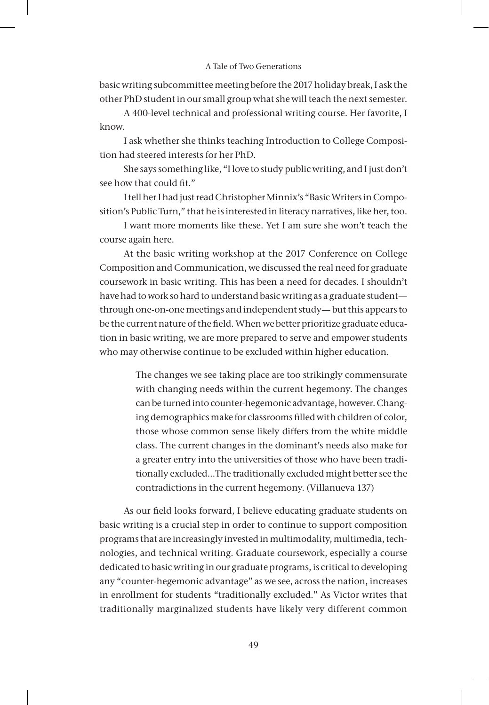basic writing subcommittee meeting before the 2017 holiday break, I ask the other PhD student in our small group what she will teach the next semester.

A 400-level technical and professional writing course. Her favorite, I know.

I ask whether she thinks teaching Introduction to College Composition had steered interests for her PhD.

She says something like, "I love to study public writing, and I just don't see how that could fit."

I tell her I had just read Christopher Minnix's "Basic Writers in Composition's Public Turn," that he is interested in literacy narratives, like her, too.

I want more moments like these. Yet I am sure she won't teach the course again here.

At the basic writing workshop at the 2017 Conference on College Composition and Communication, we discussed the real need for graduate coursework in basic writing. This has been a need for decades. I shouldn't have had to work so hard to understand basic writing as a graduate student through one-on-one meetings and independent study— but this appears to be the current nature of the field. When we better prioritize graduate education in basic writing, we are more prepared to serve and empower students who may otherwise continue to be excluded within higher education.

> The changes we see taking place are too strikingly commensurate with changing needs within the current hegemony. The changes can be turned into counter-hegemonic advantage, however. Changing demographics make for classrooms filled with children of color, those whose common sense likely differs from the white middle class. The current changes in the dominant's needs also make for a greater entry into the universities of those who have been traditionally excluded…The traditionally excluded might better see the contradictions in the current hegemony. (Villanueva 137)

As our field looks forward, I believe educating graduate students on basic writing is a crucial step in order to continue to support composition programs that are increasingly invested in multimodality, multimedia, technologies, and technical writing. Graduate coursework, especially a course dedicated to basic writing in our graduate programs, is critical to developing any "counter-hegemonic advantage" as we see, across the nation, increases in enrollment for students "traditionally excluded." As Victor writes that traditionally marginalized students have likely very different common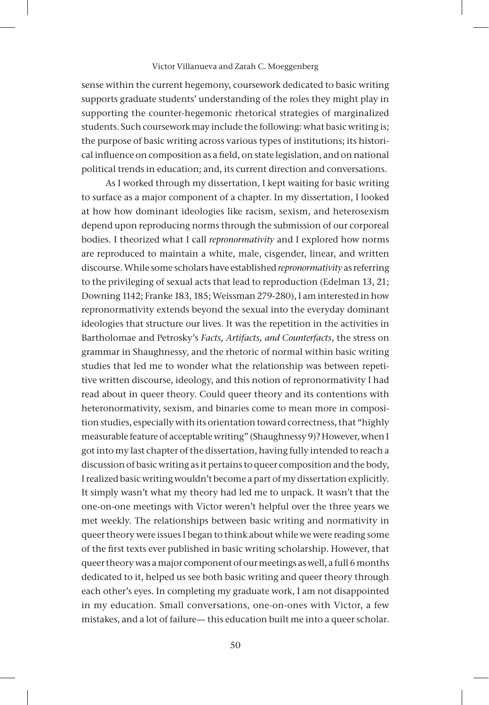sense within the current hegemony, coursework dedicated to basic writing supports graduate students' understanding of the roles they might play in supporting the counter-hegemonic rhetorical strategies of marginalized students. Such coursework may include the following: what basic writing is; the purpose of basic writing across various types of institutions; its historical influence on composition as a field, on state legislation, and on national political trends in education; and, its current direction and conversations.

As I worked through my dissertation, I kept waiting for basic writing to surface as a major component of a chapter. In my dissertation, I looked at how how dominant ideologies like racism, sexism, and heterosexism depend upon reproducing norms through the submission of our corporeal bodies. I theorized what I call *repronormativity* and I explored how norms are reproduced to maintain a white, male, cisgender, linear, and written discourse. While some scholars have established *repronormativity* as referring to the privileging of sexual acts that lead to reproduction (Edelman 13, 21; Downing 1142; Franke 183, 185; Weissman 279-280), I am interested in how repronormativity extends beyond the sexual into the everyday dominant ideologies that structure our lives. It was the repetition in the activities in Bartholomae and Petrosky's *Facts, Artifacts, and Counterfacts*, the stress on grammar in Shaughnessy, and the rhetoric of normal within basic writing studies that led me to wonder what the relationship was between repetitive written discourse, ideology, and this notion of repronormativity I had read about in queer theory. Could queer theory and its contentions with heteronormativity, sexism, and binaries come to mean more in composition studies, especially with its orientation toward correctness, that "highly measurable feature of acceptable writing" (Shaughnessy 9)? However, when I got into my last chapter of the dissertation, having fully intended to reach a discussion of basic writing as it pertains to queer composition and the body, I realized basic writing wouldn't become a part of my dissertation explicitly. It simply wasn't what my theory had led me to unpack. It wasn't that the one-on-one meetings with Victor weren't helpful over the three years we met weekly. The relationships between basic writing and normativity in queer theory were issues I began to think about while we were reading some of the first texts ever published in basic writing scholarship. However, that queer theory was a major component of our meetings as well, a full 6 months dedicated to it, helped us see both basic writing and queer theory through each other's eyes. In completing my graduate work, I am not disappointed in my education. Small conversations, one-on-ones with Victor, a few mistakes, and a lot of failure— this education built me into a queer scholar.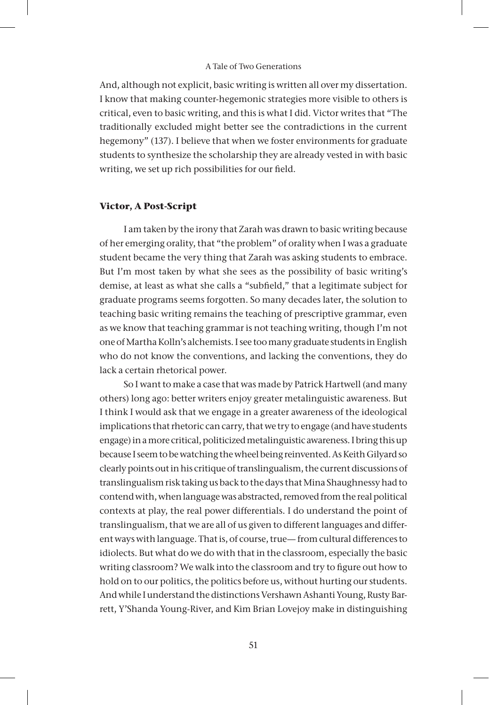And, although not explicit, basic writing is written all over my dissertation. I know that making counter-hegemonic strategies more visible to others is critical, even to basic writing, and this is what I did. Victor writes that "The traditionally excluded might better see the contradictions in the current hegemony" (137). I believe that when we foster environments for graduate students to synthesize the scholarship they are already vested in with basic writing, we set up rich possibilities for our field.

#### **Victor, A Post-Script**

I am taken by the irony that Zarah was drawn to basic writing because of her emerging orality, that "the problem" of orality when I was a graduate student became the very thing that Zarah was asking students to embrace. But I'm most taken by what she sees as the possibility of basic writing's demise, at least as what she calls a "subfield," that a legitimate subject for graduate programs seems forgotten. So many decades later, the solution to teaching basic writing remains the teaching of prescriptive grammar, even as we know that teaching grammar is not teaching writing, though I'm not one of Martha Kolln's alchemists. I see too many graduate students in English who do not know the conventions, and lacking the conventions, they do lack a certain rhetorical power.

So I want to make a case that was made by Patrick Hartwell (and many others) long ago: better writers enjoy greater metalinguistic awareness. But I think I would ask that we engage in a greater awareness of the ideological implications that rhetoric can carry, that we try to engage (and have students engage) in a more critical, politicized metalinguistic awareness. I bring this up because I seem to be watching the wheel being reinvented. As Keith Gilyard so clearly points out in his critique of translingualism, the current discussions of translingualism risk taking us back to the days that Mina Shaughnessy had to contend with, when language was abstracted, removed from the real political contexts at play, the real power differentials. I do understand the point of translingualism, that we are all of us given to different languages and different ways with language. That is, of course, true— from cultural differences to idiolects. But what do we do with that in the classroom, especially the basic writing classroom? We walk into the classroom and try to figure out how to hold on to our politics, the politics before us, without hurting our students. And while I understand the distinctions Vershawn Ashanti Young, Rusty Barrett, Y'Shanda Young-River, and Kim Brian Lovejoy make in distinguishing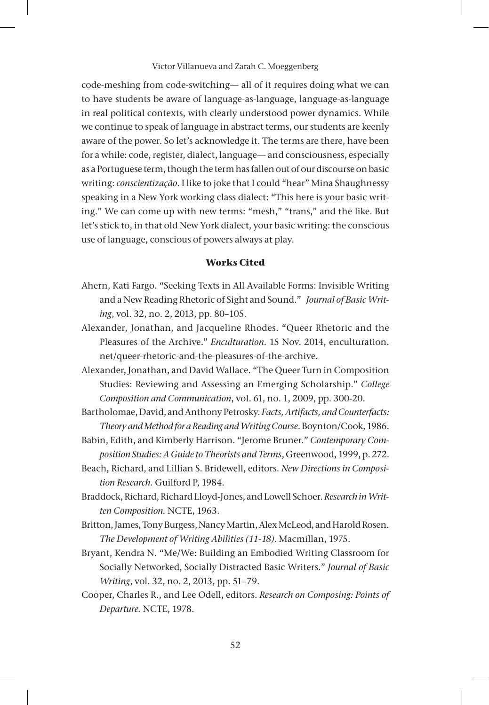code-meshing from code-switching— all of it requires doing what we can to have students be aware of language-as-language, language-as-language in real political contexts, with clearly understood power dynamics. While we continue to speak of language in abstract terms, our students are keenly aware of the power. So let's acknowledge it. The terms are there, have been for a while: code, register, dialect, language— and consciousness, especially as a Portuguese term, though the term has fallen out of our discourse on basic writing: *conscientização*. I like to joke that I could "hear" Mina Shaughnessy speaking in a New York working class dialect: "This here is your basic writing." We can come up with new terms: "mesh," "trans," and the like. But let's stick to, in that old New York dialect, your basic writing: the conscious use of language, conscious of powers always at play.

# **Works Cited**

- Ahern, Kati Fargo. "Seeking Texts in All Available Forms: Invisible Writing and a New Reading Rhetoric of Sight and Sound." *Journal of Basic Writing*, vol. 32, no. 2, 2013, pp. 80–105.
- Alexander, Jonathan, and Jacqueline Rhodes. "Queer Rhetoric and the Pleasures of the Archive." *Enculturation*. 15 Nov. 2014, enculturation. net/queer-rhetoric-and-the-pleasures-of-the-archive.
- Alexander, Jonathan, and David Wallace. "The Queer Turn in Composition Studies: Reviewing and Assessing an Emerging Scholarship." *College Composition and Communication*, vol. 61, no. 1, 2009, pp. 300-20.
- Bartholomae, David, and Anthony Petrosky. *Facts, Artifacts, and Counterfacts: Theory and Method for a Reading and Writing Course*. Boynton/Cook, 1986.
- Babin, Edith, and Kimberly Harrison. "Jerome Bruner." *Contemporary Composition Studies: A Guide to Theorists and Terms*, Greenwood, 1999, p. 272.
- Beach, Richard, and Lillian S. Bridewell, editors. *New Directions in Composition Research.* Guilford P, 1984.
- Braddock, Richard, Richard Lloyd-Jones, and Lowell Schoer. *Research in Written Composition.* NCTE, 1963.
- Britton, James, Tony Burgess, Nancy Martin, Alex McLeod, and Harold Rosen. *The Development of Writing Abilities (11-18)*. Macmillan, 1975.
- Bryant, Kendra N. "Me/We: Building an Embodied Writing Classroom for Socially Networked, Socially Distracted Basic Writers." *Journal of Basic Writing*, vol. 32, no. 2, 2013, pp. 51–79.
- Cooper, Charles R., and Lee Odell, editors. *Research on Composing: Points of Departure.* NCTE, 1978.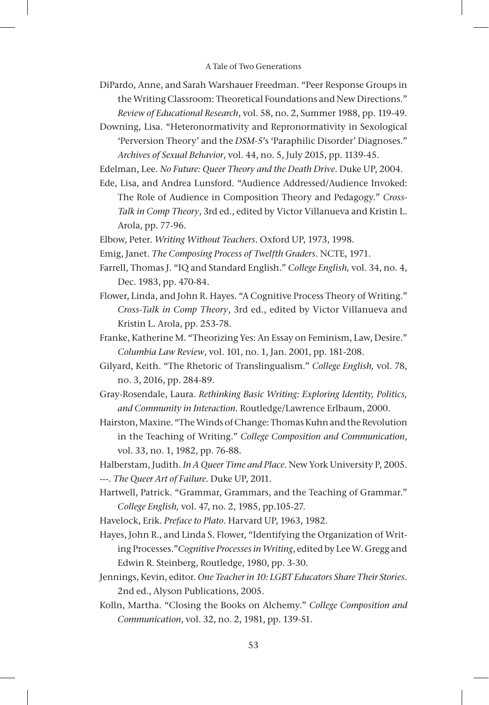- DiPardo, Anne, and Sarah Warshauer Freedman. "Peer Response Groups in the Writing Classroom: Theoretical Foundations and New Directions." *Review of Educational Research*, vol. 58, no. 2, Summer 1988, pp. 119-49.
- Downing, Lisa. "Heteronormativity and Repronormativity in Sexological 'Perversion Theory' and the *DSM-5*'s 'Paraphilic Disorder' Diagnoses." *Archives of Sexual Behavior*, vol. 44, no. 5, July 2015, pp. 1139-45.
- Edelman, Lee. *No Future: Queer Theory and the Death Drive*. Duke UP, 2004.
- Ede, Lisa, and Andrea Lunsford. "Audience Addressed/Audience Invoked: The Role of Audience in Composition Theory and Pedagogy." *Cross-Talk in Comp Theory*, 3rd ed., edited by Victor Villanueva and Kristin L. Arola, pp. 77-96.
- Elbow, Peter. *Writing Without Teachers*. Oxford UP, 1973, 1998.
- Emig, Janet. *The Composing Process of Twelfth Graders*. NCTE, 1971.
- Farrell, Thomas J. "IQ and Standard English." *College English,* vol. 34, no. 4, Dec. 1983, pp. 470-84.
- Flower, Linda, and John R. Hayes. "A Cognitive Process Theory of Writing." *Cross-Talk in Comp Theory*, 3rd ed., edited by Victor Villanueva and Kristin L. Arola, pp. 253-78.
- Franke, Katherine M. "Theorizing Yes: An Essay on Feminism, Law, Desire." *Columbia Law Review*, vol. 101, no. 1, Jan. 2001, pp. 181-208.
- Gilyard, Keith. "The Rhetoric of Translingualism." *College English,* vol. 78, no. 3, 2016, pp. 284-89.
- Gray-Rosendale, Laura. *Rethinking Basic Writing: Exploring Identity, Politics, and Community in Interaction*. Routledge/Lawrence Erlbaum, 2000.
- Hairston, Maxine. "The Winds of Change: Thomas Kuhn and the Revolution in the Teaching of Writing." *College Composition and Communication*, vol. 33, no. 1, 1982, pp. 76-88.
- Halberstam, Judith. *In A Queer Time and Place*. New York University P, 2005. ---. *The Queer Art of Failure*. Duke UP, 2011.
- Hartwell, Patrick. "Grammar, Grammars, and the Teaching of Grammar." *College English,* vol. 47, no. 2, 1985, pp.105-27.
- Havelock, Erik. *Preface to Plato*. Harvard UP, 1963, 1982.
- Hayes, John R., and Linda S. Flower, "Identifying the Organization of Writing Processes."*Cognitive Processes in Writing*, edited by Lee W. Gregg and Edwin R. Steinberg, Routledge, 1980, pp. 3-30.
- Jennings, Kevin, editor. *One Teacher in 10: LGBT Educators Share Their Stories*. 2nd ed., Alyson Publications, 2005.
- Kolln, Martha. "Closing the Books on Alchemy." *College Composition and Communication*, vol. 32, no. 2, 1981, pp. 139-51.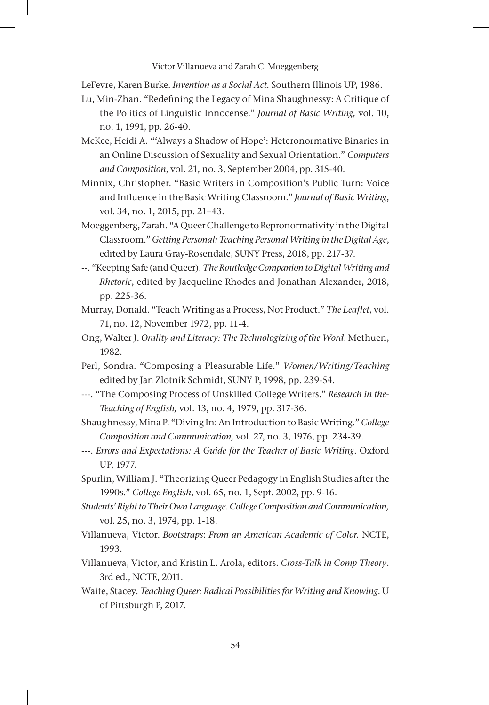LeFevre, Karen Burke. *Invention as a Social Act.* Southern Illinois UP, 1986.

- Lu, Min-Zhan. "Redefining the Legacy of Mina Shaughnessy: A Critique of the Politics of Linguistic Innocense." *Journal of Basic Writing,* vol. 10, no. 1, 1991, pp. 26-40.
- McKee, Heidi A. "'Always a Shadow of Hope': Heteronormative Binaries in an Online Discussion of Sexuality and Sexual Orientation." *Computers and Composition*, vol. 21, no. 3, September 2004, pp. 315-40.
- Minnix, Christopher. "Basic Writers in Composition's Public Turn: Voice and Influence in the Basic Writing Classroom." *Journal of Basic Writing*, vol. 34, no. 1, 2015, pp. 21–43.
- Moeggenberg, Zarah. "A Queer Challenge to Repronormativity in the Digital Classroom." *Getting Personal: Teaching Personal Writing in the Digital Age*, edited by Laura Gray-Rosendale, SUNY Press, 2018, pp. 217-37.
- --. "Keeping Safe (and Queer). *The Routledge Companion to Digital Writing and Rhetoric*, edited by Jacqueline Rhodes and Jonathan Alexander, 2018, pp. 225-36.
- Murray, Donald. "Teach Writing as a Process, Not Product." *The Leaflet*, vol. 71, no. 12, November 1972, pp. 11-4.
- Ong, Walter J. *Orality and Literacy: The Technologizing of the Word*. Methuen, 1982.
- Perl, Sondra. "Composing a Pleasurable Life." *Women/Writing/Teaching* edited by Jan Zlotnik Schmidt, SUNY P, 1998, pp. 239-54.
- ---. "The Composing Process of Unskilled College Writers." *Research in the-Teaching of English,* vol. 13, no. 4, 1979, pp. 317-36.
- Shaughnessy, Mina P. "Diving In: An Introduction to Basic Writing." *College Composition and Communication,* vol. 27, no. 3, 1976, pp. 234-39.
- ---. *Errors and Expectations: A Guide for the Teacher of Basic Writing*. Oxford UP, 1977.
- Spurlin, William J. "Theorizing Queer Pedagogy in English Studies after the 1990s." *College English*, vol. 65, no. 1, Sept. 2002, pp. 9-16.
- *Students' Right to Their Own Language*. *College Composition and Communication,*  vol. 25, no. 3, 1974, pp. 1-18.
- Villanueva, Victor. *Bootstraps*: *From an American Academic of Color.* NCTE, 1993.
- Villanueva, Victor, and Kristin L. Arola, editors. *Cross-Talk in Comp Theory*. 3rd ed., NCTE, 2011.
- Waite, Stacey. *Teaching Queer: Radical Possibilities for Writing and Knowing*. U of Pittsburgh P, 2017.